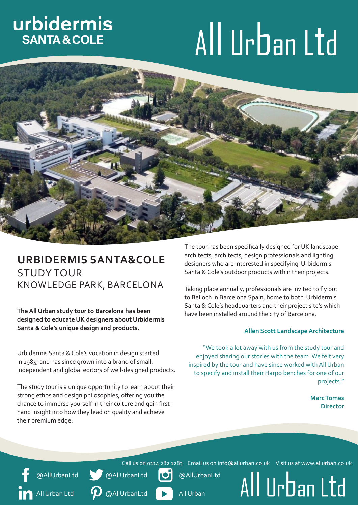# urbidermis **SANTA & COLE**

# All Urban Ltd



# **URBIDERMIS SANTA&COLE** STUDY TOUR KNOWLEDGE PARK, BARCELONA

**The All Urban study tour to Barcelona has been designed to educate UK designers about Urbidermis Santa & Cole's unique design and products.**

Urbidermis Santa & Cole's vocation in design started in 1985, and has since grown into a brand of small, independent and global editors of well-designed products.

The study tour is a unique opportunity to learn about their strong ethos and design philosophies, offering you the chance to immerse yourself in their culture and gain firsthand insight into how they lead on quality and achieve their premium edge.

**p** @AllUrbanLtd

@AllUrbanLtd

All Urban Ltd

The tour has been specifically designed for UK landscape architects, architects, design professionals and lighting designers who are interested in specifying Urbidermis Santa & Cole's outdoor products within their projects.

Taking place annually, professionals are invited to fly out to Belloch in Barcelona Spain, home to both Urbidermis Santa & Cole's headquarters and their project site's which have been installed around the city of Barcelona.

#### **Allen Scott Landscape Architecture**

"We took a lot away with us from the study tour and enjoyed sharing our stories with the team. We felt very inspired by the tour and have since worked with All Urban to specify and install their Harpo benches for one of our projects."

> **Marc Tomes Director**

Call us on 0114 282 1283 Email us on info@allurban.co.uk Visit us at www.allurban.co.uk **@AllUrbanLtd** 

@AllUrbanLtd

All Urban

All Urban Ltd